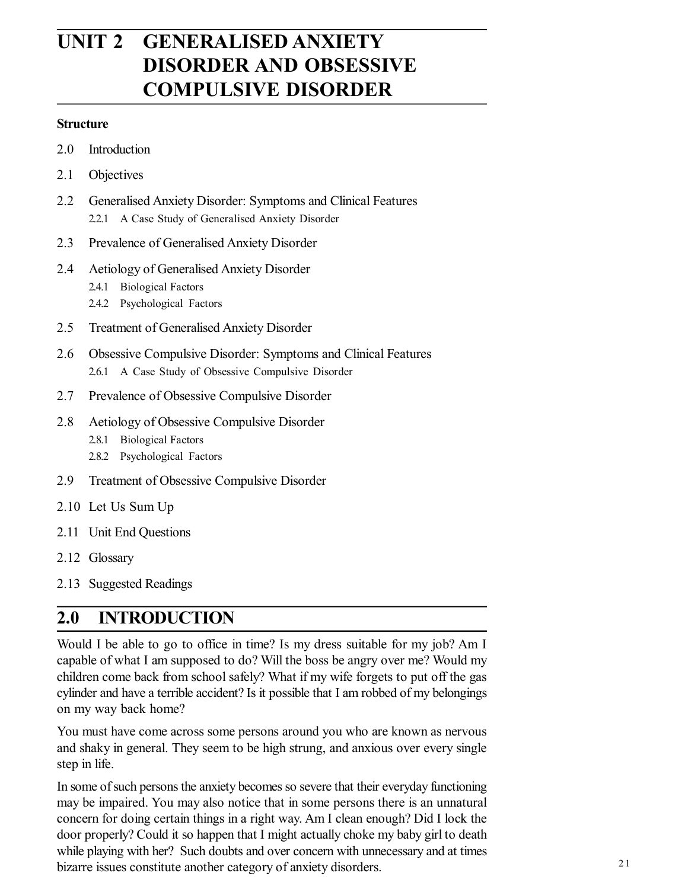# **UNIT 2 GENERALISED ANXIETY DISORDER AND OBSESSIVE COMPULSIVE DISORDER**

#### **Structure**

- 2.0 Introduction
- 2.1 Objectives
- 2.2 Generalised Anxiety Disorder: Symptoms and Clinical Features 2.2.1 A Case Study of Generalised Anxiety Disorder
- 2.3 Prevalence of Generalised Anxiety Disorder
- 2.4 Aetiology of Generalised Anxiety Disorder
	- 2.4.1 Biological Factors
	- 2.4.2 Psychological Factors
- 2.5 Treatment of Generalised Anxiety Disorder
- 2.6 Obsessive Compulsive Disorder: Symptoms and Clinical Features 2.6.1 A Case Study of Obsessive Compulsive Disorder
- 2.7 Prevalence of Obsessive Compulsive Disorder
- 2.8 Aetiology of Obsessive Compulsive Disorder
	- 2.8.1 Biological Factors
	- 2.8.2 Psychological Factors
- 2.9 Treatment of Obsessive Compulsive Disorder
- 2.10 Let Us Sum Up
- 2.11 Unit End Questions
- 2.12 Glossary
- 2.13 Suggested Readings

# **2.0 INTRODUCTION**

Would I be able to go to office in time? Is my dress suitable for my job? Am I capable of what I am supposed to do? Will the boss be angry over me? Would my children come back from school safely? What if my wife forgets to put off the gas cylinder and have a terrible accident? Is it possible that I am robbed of my belongings on my way back home?

You must have come across some persons around you who are known as nervous and shaky in general. They seem to be high strung, and anxious over every single step in life.

In some of such persons the anxiety becomes so severe that their everyday functioning may be impaired. You may also notice that in some persons there is an unnatural concern for doing certain things in a right way. Am I clean enough? Did I lock the door properly? Could it so happen that I might actually choke my baby girl to death while playing with her? Such doubts and over concern with unnecessary and at times bizarre issues constitute another category of anxiety disorders.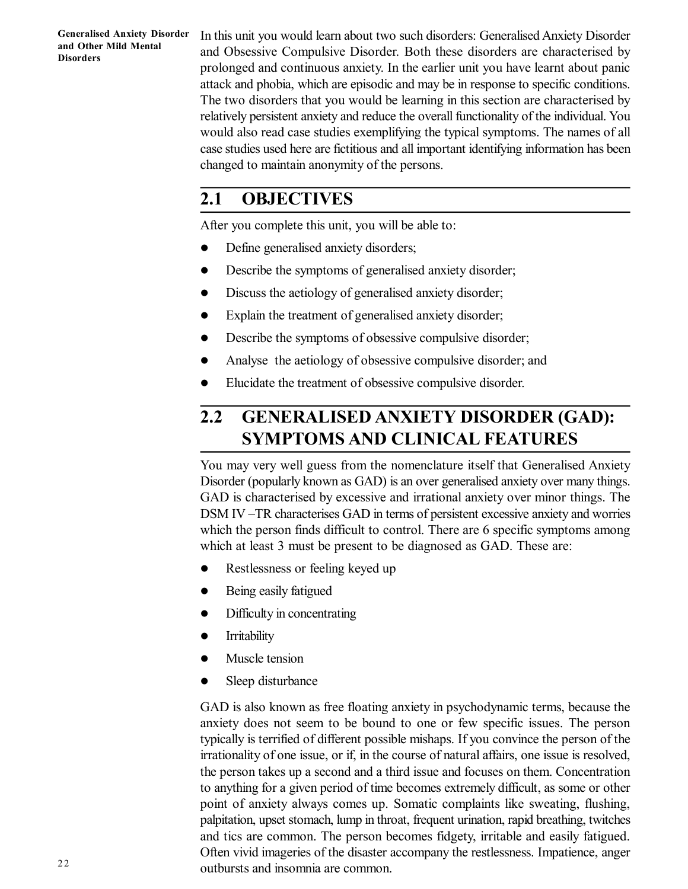In this unit you would learn about two such disorders: Generalised Anxiety Disorder and Obsessive Compulsive Disorder. Both these disorders are characterised by prolonged and continuous anxiety. In the earlier unit you have learnt about panic attack and phobia, which are episodic and may be in response to specific conditions. The two disorders that you would be learning in this section are characterised by relatively persistent anxiety and reduce the overall functionality of the individual. You would also read case studies exemplifying the typical symptoms. The names of all case studies used here are fictitious and all important identifying information has been changed to maintain anonymity of the persons.

# **2.1 OBJECTIVES**

After you complete this unit, you will be able to:

- Define generalised anxiety disorders;
- Describe the symptoms of generalised anxiety disorder;
- Discuss the aetiology of generalised anxiety disorder;
- Explain the treatment of generalised anxiety disorder;
- Describe the symptoms of obsessive compulsive disorder;
- Analyse the aetiology of obsessive compulsive disorder; and
- Elucidate the treatment of obsessive compulsive disorder.

# **2.2 GENERALISED ANXIETY DISORDER (GAD): SYMPTOMS AND CLINICAL FEATURES**

You may very well guess from the nomenclature itself that Generalised Anxiety Disorder (popularly known as GAD) is an over generalised anxiety over many things. GAD is characterised by excessive and irrational anxiety over minor things. The DSM IV –TR characterises GAD in terms of persistent excessive anxiety and worries which the person finds difficult to control. There are 6 specific symptoms among which at least 3 must be present to be diagnosed as GAD. These are:

- Restlessness or feeling keyed up
- Being easily fatigued
- Difficulty in concentrating
- **•** Irritability
- Muscle tension
- Sleep disturbance

GAD is also known as free floating anxiety in psychodynamic terms, because the anxiety does not seem to be bound to one or few specific issues. The person typically is terrified of different possible mishaps. If you convince the person of the irrationality of one issue, or if, in the course of natural affairs, one issue is resolved, the person takes up a second and a third issue and focuses on them. Concentration to anything for a given period of time becomes extremely difficult, as some or other point of anxiety always comes up. Somatic complaints like sweating, flushing, palpitation, upset stomach, lump in throat, frequent urination, rapid breathing, twitches and tics are common. The person becomes fidgety, irritable and easily fatigued. Often vivid imageries of the disaster accompany the restlessness. Impatience, anger outbursts and insomnia are common.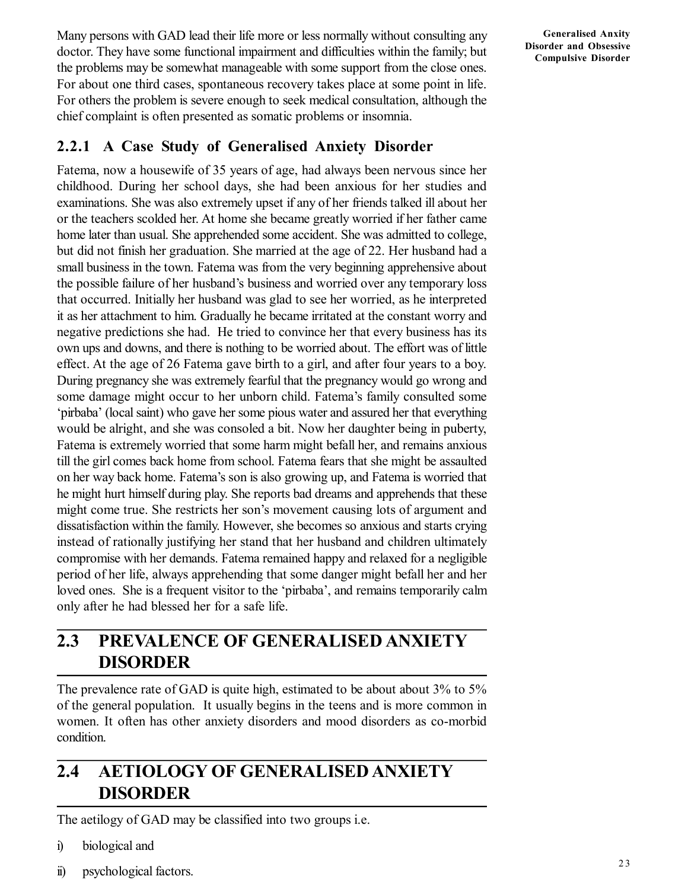Many persons with GAD lead their life more or less normally without consulting any doctor. They have some functional impairment and difficulties within the family; but the problems may be somewhat manageable with some support from the close ones. For about one third cases, spontaneous recovery takes place at some point in life. For others the problem is severe enough to seek medical consultation, although the chief complaint is often presented as somatic problems or insomnia.

## **2.2.1 A Case Study of Generalised Anxiety Disorder**

Fatema, now a housewife of 35 years of age, had always been nervous since her childhood. During her school days, she had been anxious for her studies and examinations. She was also extremely upset if any of her friends talked ill about her or the teachers scolded her. At home she became greatly worried if her father came home later than usual. She apprehended some accident. She was admitted to college, but did not finish her graduation. She married at the age of 22. Her husband had a small business in the town. Fatema was from the very beginning apprehensive about the possible failure of her husband's business and worried over any temporary loss that occurred. Initially her husband was glad to see her worried, as he interpreted it as her attachment to him. Gradually he became irritated at the constant worry and negative predictions she had. He tried to convince her that every business has its own ups and downs, and there is nothing to be worried about. The effort was of little effect. At the age of 26 Fatema gave birth to a girl, and after four years to a boy. During pregnancy she was extremely fearful that the pregnancy would go wrong and some damage might occur to her unborn child. Fatema's family consulted some 'pirbaba' (local saint) who gave her some pious water and assured her that everything would be alright, and she was consoled a bit. Now her daughter being in puberty, Fatema is extremely worried that some harm might befall her, and remains anxious till the girl comes back home from school. Fatema fears that she might be assaulted on her way back home. Fatema's son is also growing up, and Fatema is worried that he might hurt himself during play. She reports bad dreams and apprehends that these might come true. She restricts her son's movement causing lots of argument and dissatisfaction within the family. However, she becomes so anxious and starts crying instead of rationally justifying her stand that her husband and children ultimately compromise with her demands. Fatema remained happy and relaxed for a negligible period of her life, always apprehending that some danger might befall her and her loved ones. She is a frequent visitor to the 'pirbaba', and remains temporarily calm only after he had blessed her for a safe life.

# **2.3 PREVALENCE OF GENERALISED ANXIETY DISORDER**

The prevalence rate of GAD is quite high, estimated to be about about 3% to 5% of the general population. It usually begins in the teens and is more common in women. It often has other anxiety disorders and mood disorders as co-morbid condition.

# **2.4 AETIOLOGY OF GENERALISED ANXIETY DISORDER**

The aetilogy of GAD may be classified into two groups i.e.

- i) biological and
- ii) psychological factors.

**Generalised Anxity Disorder and Obsessive Compulsive Disorder**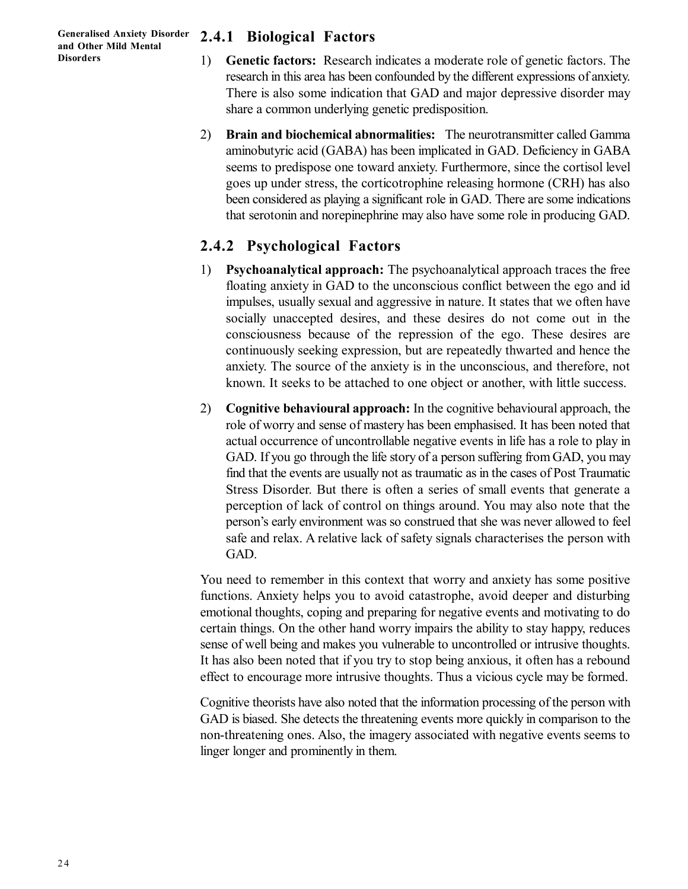## **2.4.1 Biological Factors**

- 1) **Genetic factors:** Research indicates a moderate role of genetic factors. The research in this area has been confounded by the different expressions of anxiety. There is also some indication that GAD and major depressive disorder may share a common underlying genetic predisposition.
- 2) **Brain and biochemical abnormalities:** The neurotransmitter called Gamma aminobutyric acid (GABA) has been implicated in GAD. Deficiency in GABA seems to predispose one toward anxiety. Furthermore, since the cortisol level goes up under stress, the corticotrophine releasing hormone (CRH) has also been considered as playing a significant role in GAD. There are some indications that serotonin and norepinephrine may also have some role in producing GAD.

## **2.4.2 Psychological Factors**

- 1) **Psychoanalytical approach:** The psychoanalytical approach traces the free floating anxiety in GAD to the unconscious conflict between the ego and id impulses, usually sexual and aggressive in nature. It states that we often have socially unaccepted desires, and these desires do not come out in the consciousness because of the repression of the ego. These desires are continuously seeking expression, but are repeatedly thwarted and hence the anxiety. The source of the anxiety is in the unconscious, and therefore, not known. It seeks to be attached to one object or another, with little success.
- 2) **Cognitive behavioural approach:** In the cognitive behavioural approach, the role of worry and sense of mastery has been emphasised. It has been noted that actual occurrence of uncontrollable negative events in life has a role to play in GAD. If you go through the life story of a person suffering from GAD, you may find that the events are usually not as traumatic as in the cases of Post Traumatic Stress Disorder. But there is often a series of small events that generate a perception of lack of control on things around. You may also note that the person's early environment was so construed that she was never allowed to feel safe and relax. A relative lack of safety signals characterises the person with GAD.

You need to remember in this context that worry and anxiety has some positive functions. Anxiety helps you to avoid catastrophe, avoid deeper and disturbing emotional thoughts, coping and preparing for negative events and motivating to do certain things. On the other hand worry impairs the ability to stay happy, reduces sense of well being and makes you vulnerable to uncontrolled or intrusive thoughts. It has also been noted that if you try to stop being anxious, it often has a rebound effect to encourage more intrusive thoughts. Thus a vicious cycle may be formed.

Cognitive theorists have also noted that the information processing of the person with GAD is biased. She detects the threatening events more quickly in comparison to the non-threatening ones. Also, the imagery associated with negative events seems to linger longer and prominently in them.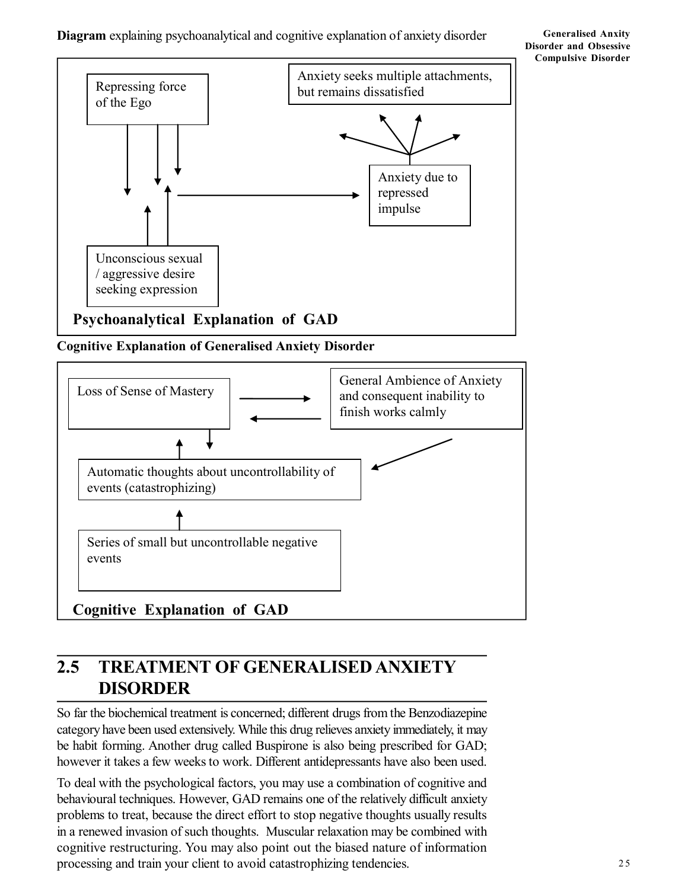### **Diagram** explaining psychoanalytical and cognitive explanation of anxiety disorder

#### **Generalised Anxity Disorder and Obsessive Compulsive Disorder**



**Cognitive Explanation of Generalised Anxiety Disorder**



# **2.5 TREATMENT OF GENERALISED ANXIETY DISORDER**

So far the biochemical treatment is concerned; different drugs from the Benzodiazepine category have been used extensively. While this drug relieves anxiety immediately, it may be habit forming. Another drug called Buspirone is also being prescribed for GAD; however it takes a few weeks to work. Different antidepressants have also been used.

To deal with the psychological factors, you may use a combination of cognitive and behavioural techniques. However, GAD remains one of the relatively difficult anxiety problems to treat, because the direct effort to stop negative thoughts usually results in a renewed invasion of such thoughts. Muscular relaxation may be combined with cognitive restructuring. You may also point out the biased nature of information processing and train your client to avoid catastrophizing tendencies.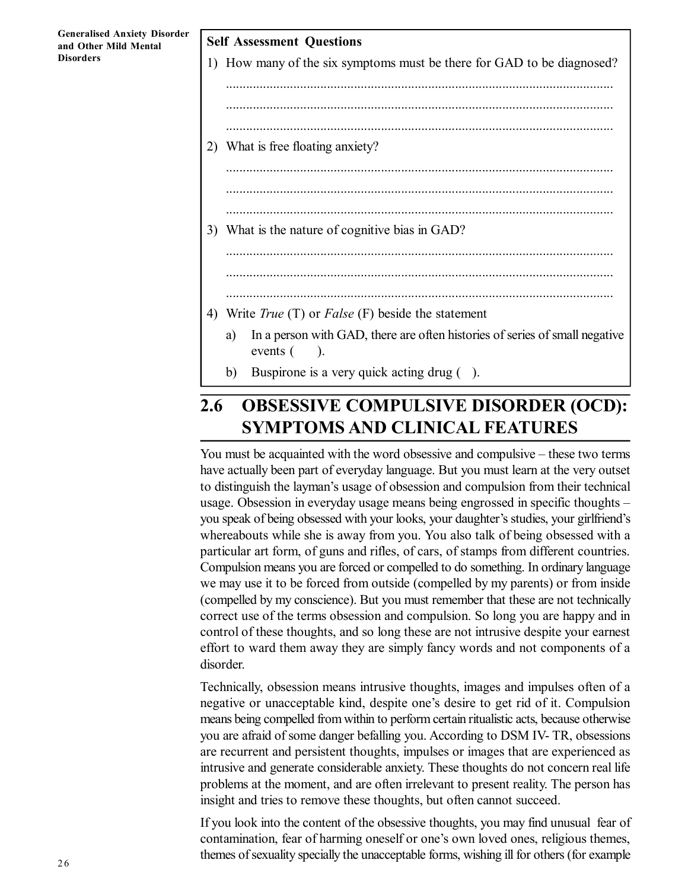**Self Assessment Questions** 1) How many of the six symptoms must be there for GAD to be diagnosed? ................................................................................................................... ................................................................................................................... ................................................................................................................... 2) What is free floating anxiety? ................................................................................................................... ................................................................................................................... ................................................................................................................... 3) What is the nature of cognitive bias in GAD? ................................................................................................................... ................................................................................................................... 4) Write *True* (T) or *False* (F) beside the statement a) In a person with GAD, there are often histories of series of small negative events  $($ ). b) Buspirone is a very quick acting drug ( ).

# **2.6 OBSESSIVE COMPULSIVE DISORDER (OCD): SYMPTOMS AND CLINICAL FEATURES**

You must be acquainted with the word obsessive and compulsive – these two terms have actually been part of everyday language. But you must learn at the very outset to distinguish the layman's usage of obsession and compulsion from their technical usage. Obsession in everyday usage means being engrossed in specific thoughts – you speak of being obsessed with your looks, your daughter's studies, your girlfriend's whereabouts while she is away from you. You also talk of being obsessed with a particular art form, of guns and rifles, of cars, of stamps from different countries. Compulsion means you are forced or compelled to do something. In ordinary language we may use it to be forced from outside (compelled by my parents) or from inside (compelled by my conscience). But you must remember that these are not technically correct use of the terms obsession and compulsion. So long you are happy and in control of these thoughts, and so long these are not intrusive despite your earnest effort to ward them away they are simply fancy words and not components of a disorder.

Technically, obsession means intrusive thoughts, images and impulses often of a negative or unacceptable kind, despite one's desire to get rid of it. Compulsion means being compelled from within to perform certain ritualistic acts, because otherwise you are afraid of some danger befalling you. According to DSM IV- TR, obsessions are recurrent and persistent thoughts, impulses or images that are experienced as intrusive and generate considerable anxiety. These thoughts do not concern real life problems at the moment, and are often irrelevant to present reality. The person has insight and tries to remove these thoughts, but often cannot succeed.

If you look into the content of the obsessive thoughts, you may find unusual fear of contamination, fear of harming oneself or one's own loved ones, religious themes, themes of sexuality specially the unacceptable forms, wishing ill for others (for example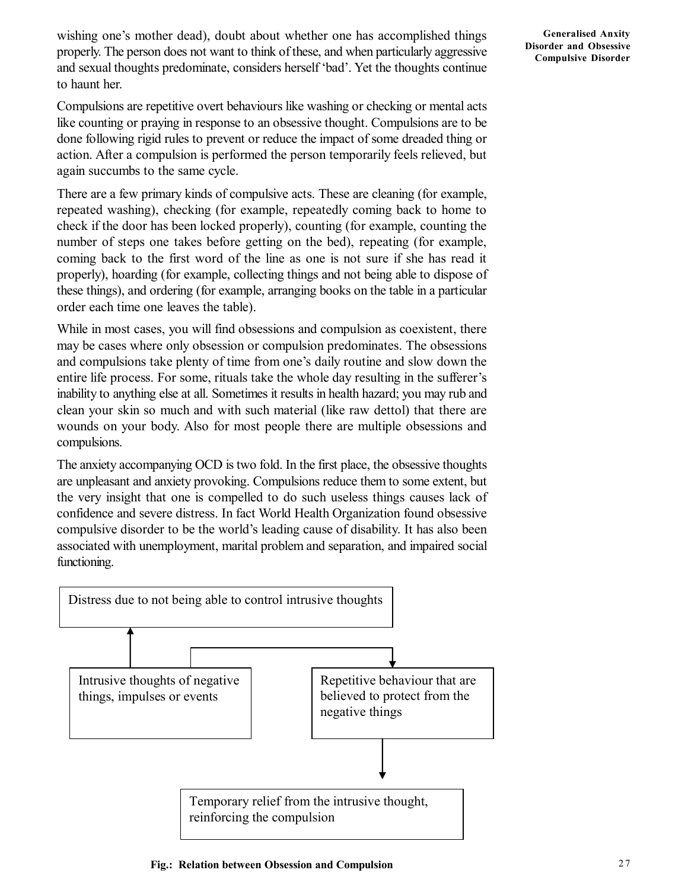wishing one's mother dead), doubt about whether one has accomplished things properly. The person does not want to think of these, and when particularly aggressive and sexual thoughts predominate, considers herself 'bad'. Yet the thoughts continue to haunt her.

Compulsions are repetitive overt behaviours like washing or checking or mental acts like counting or praying in response to an obsessive thought. Compulsions are to be done following rigid rules to prevent or reduce the impact of some dreaded thing or action. After a compulsion is performed the person temporarily feels relieved, but again succumbs to the same cycle.

There are a few primary kinds of compulsive acts. These are cleaning (for example, repeated washing), checking (for example, repeatedly coming back to home to check if the door has been locked properly), counting (for example, counting the number of steps one takes before getting on the bed), repeating (for example, coming back to the first word of the line as one is not sure if she has read it properly), hoarding (for example, collecting things and not being able to dispose of these things), and ordering (for example, arranging books on the table in a particular order each time one leaves the table).

While in most cases, you will find obsessions and compulsion as coexistent, there may be cases where only obsession or compulsion predominates. The obsessions and compulsions take plenty of time from one's daily routine and slow down the entire life process. For some, rituals take the whole day resulting in the sufferer's inability to anything else at all. Sometimes it results in health hazard; you may rub and clean your skin so much and with such material (like raw dettol) that there are wounds on your body. Also for most people there are multiple obsessions and compulsions.

The anxiety accompanying OCD is two fold. In the first place, the obsessive thoughts are unpleasant and anxiety provoking. Compulsions reduce them to some extent, but the very insight that one is compelled to do such useless things causes lack of confidence and severe distress. In fact World Health Organization found obsessive compulsive disorder to be the world's leading cause of disability. It has also been associated with unemployment, marital problem and separation, and impaired social functioning.

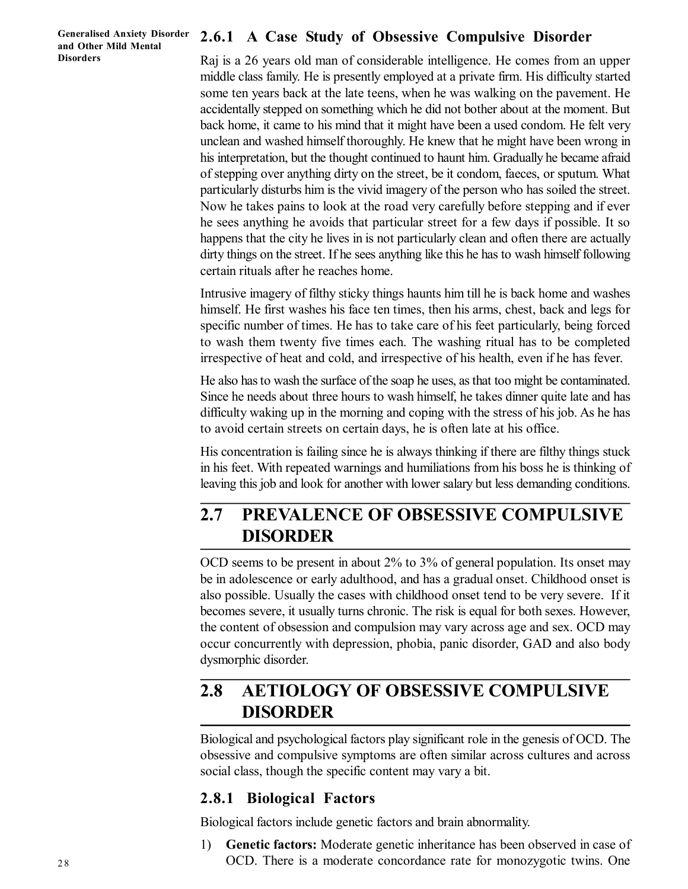## **2.6.1 A Case Study of Obsessive Compulsive Disorder**

Raj is a 26 years old man of considerable intelligence. He comes from an upper middle class family. He is presently employed at a private firm. His difficulty started some ten years back at the late teens, when he was walking on the pavement. He accidentally stepped on something which he did not bother about at the moment. But back home, it came to his mind that it might have been a used condom. He felt very unclean and washed himself thoroughly. He knew that he might have been wrong in his interpretation, but the thought continued to haunt him. Gradually he became afraid of stepping over anything dirty on the street, be it condom, faeces, or sputum. What particularly disturbs him is the vivid imagery of the person who has soiled the street. Now he takes pains to look at the road very carefully before stepping and if ever he sees anything he avoids that particular street for a few days if possible. It so happens that the city he lives in is not particularly clean and often there are actually dirty things on the street. If he sees anything like this he has to wash himself following certain rituals after he reaches home.

Intrusive imagery of filthy sticky things haunts him till he is back home and washes himself. He first washes his face ten times, then his arms, chest, back and legs for specific number of times. He has to take care of his feet particularly, being forced to wash them twenty five times each. The washing ritual has to be completed irrespective of heat and cold, and irrespective of his health, even if he has fever.

He also has to wash the surface of the soap he uses, as that too might be contaminated. Since he needs about three hours to wash himself, he takes dinner quite late and has difficulty waking up in the morning and coping with the stress of his job. As he has to avoid certain streets on certain days, he is often late at his office.

His concentration is failing since he is always thinking if there are filthy things stuck in his feet. With repeated warnings and humiliations from his boss he is thinking of leaving this job and look for another with lower salary but less demanding conditions.

# **2.7 PREVALENCE OF OBSESSIVE COMPULSIVE DISORDER**

OCD seems to be present in about 2% to 3% of general population. Its onset may be in adolescence or early adulthood, and has a gradual onset. Childhood onset is also possible. Usually the cases with childhood onset tend to be very severe. If it becomes severe, it usually turns chronic. The risk is equal for both sexes. However, the content of obsession and compulsion may vary across age and sex. OCD may occur concurrently with depression, phobia, panic disorder, GAD and also body dysmorphic disorder.

# **2.8 AETIOLOGY OF OBSESSIVE COMPULSIVE DISORDER**

Biological and psychological factors play significant role in the genesis of OCD. The obsessive and compulsive symptoms are often similar across cultures and across social class, though the specific content may vary a bit.

## **2.8.1 Biological Factors**

Biological factors include genetic factors and brain abnormality.

1) **Genetic factors:** Moderate genetic inheritance has been observed in case of OCD. There is a moderate concordance rate for monozygotic twins. One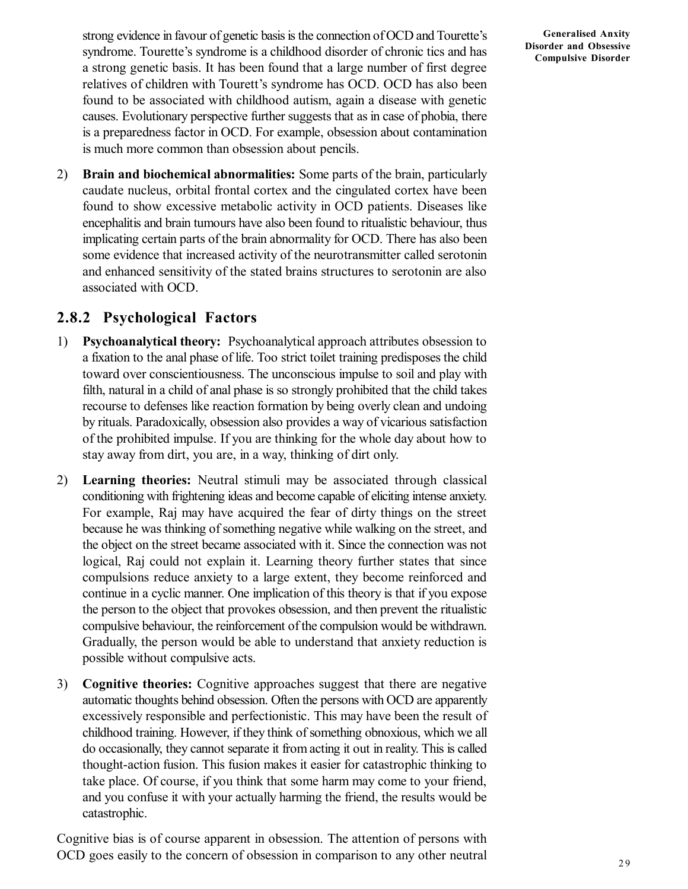strong evidence in favour of genetic basis is the connection of OCD and Tourette's syndrome. Tourette's syndrome is a childhood disorder of chronic tics and has a strong genetic basis. It has been found that a large number of first degree relatives of children with Tourett's syndrome has OCD. OCD has also been found to be associated with childhood autism, again a disease with genetic causes. Evolutionary perspective further suggests that as in case of phobia, there is a preparedness factor in OCD. For example, obsession about contamination is much more common than obsession about pencils.

2) **Brain and biochemical abnormalities:** Some parts of the brain, particularly caudate nucleus, orbital frontal cortex and the cingulated cortex have been found to show excessive metabolic activity in OCD patients. Diseases like encephalitis and brain tumours have also been found to ritualistic behaviour, thus implicating certain parts of the brain abnormality for OCD. There has also been some evidence that increased activity of the neurotransmitter called serotonin and enhanced sensitivity of the stated brains structures to serotonin are also associated with OCD.

## **2.8.2 Psychological Factors**

- 1) **Psychoanalytical theory:** Psychoanalytical approach attributes obsession to a fixation to the anal phase of life. Too strict toilet training predisposes the child toward over conscientiousness. The unconscious impulse to soil and play with filth, natural in a child of anal phase is so strongly prohibited that the child takes recourse to defenses like reaction formation by being overly clean and undoing by rituals. Paradoxically, obsession also provides a way of vicarious satisfaction of the prohibited impulse. If you are thinking for the whole day about how to stay away from dirt, you are, in a way, thinking of dirt only.
- 2) **Learning theories:** Neutral stimuli may be associated through classical conditioning with frightening ideas and become capable of eliciting intense anxiety. For example, Raj may have acquired the fear of dirty things on the street because he was thinking of something negative while walking on the street, and the object on the street became associated with it. Since the connection was not logical, Raj could not explain it. Learning theory further states that since compulsions reduce anxiety to a large extent, they become reinforced and continue in a cyclic manner. One implication of this theory is that if you expose the person to the object that provokes obsession, and then prevent the ritualistic compulsive behaviour, the reinforcement of the compulsion would be withdrawn. Gradually, the person would be able to understand that anxiety reduction is possible without compulsive acts.
- 3) **Cognitive theories:** Cognitive approaches suggest that there are negative automatic thoughts behind obsession. Often the persons with OCD are apparently excessively responsible and perfectionistic. This may have been the result of childhood training. However, if they think of something obnoxious, which we all do occasionally, they cannot separate it from acting it out in reality. This is called thought-action fusion. This fusion makes it easier for catastrophic thinking to take place. Of course, if you think that some harm may come to your friend, and you confuse it with your actually harming the friend, the results would be catastrophic.

Cognitive bias is of course apparent in obsession. The attention of persons with OCD goes easily to the concern of obsession in comparison to any other neutral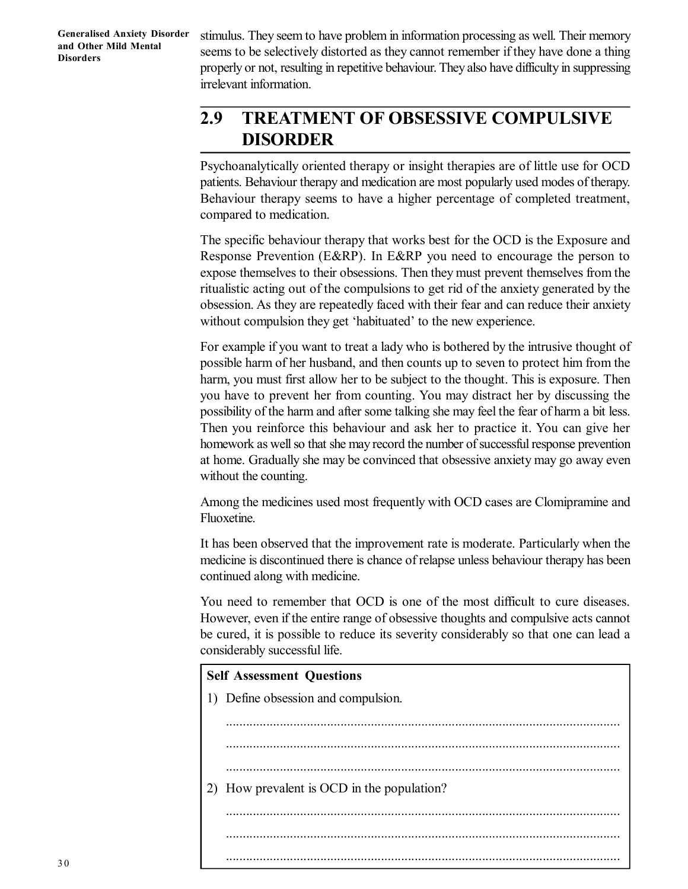stimulus. They seem to have problem in information processing as well. Their memory seems to be selectively distorted as they cannot remember if they have done a thing properly or not, resulting in repetitive behaviour. They also have difficulty in suppressing irrelevant information.

# **2.9 TREATMENT OF OBSESSIVE COMPULSIVE DISORDER**

Psychoanalytically oriented therapy or insight therapies are of little use for OCD patients. Behaviour therapy and medication are most popularly used modes of therapy. Behaviour therapy seems to have a higher percentage of completed treatment, compared to medication.

The specific behaviour therapy that works best for the OCD is the Exposure and Response Prevention (E&RP). In E&RP you need to encourage the person to expose themselves to their obsessions. Then they must prevent themselves from the ritualistic acting out of the compulsions to get rid of the anxiety generated by the obsession. As they are repeatedly faced with their fear and can reduce their anxiety without compulsion they get 'habituated' to the new experience.

For example if you want to treat a lady who is bothered by the intrusive thought of possible harm of her husband, and then counts up to seven to protect him from the harm, you must first allow her to be subject to the thought. This is exposure. Then you have to prevent her from counting. You may distract her by discussing the possibility of the harm and after some talking she may feel the fear of harm a bit less. Then you reinforce this behaviour and ask her to practice it. You can give her homework as well so that she may record the number of successful response prevention at home. Gradually she may be convinced that obsessive anxiety may go away even without the counting.

Among the medicines used most frequently with OCD cases are Clomipramine and Fluoxetine.

It has been observed that the improvement rate is moderate. Particularly when the medicine is discontinued there is chance of relapse unless behaviour therapy has been continued along with medicine.

You need to remember that OCD is one of the most difficult to cure diseases. However, even if the entire range of obsessive thoughts and compulsive acts cannot be cured, it is possible to reduce its severity considerably so that one can lead a considerably successful life.

.....................................................................................................................

# **Self Assessment Questions** 1) Define obsession and compulsion. ..................................................................................................................... ..................................................................................................................... ..................................................................................................................... 2) How prevalent is OCD in the population? ..................................................................................................................... .....................................................................................................................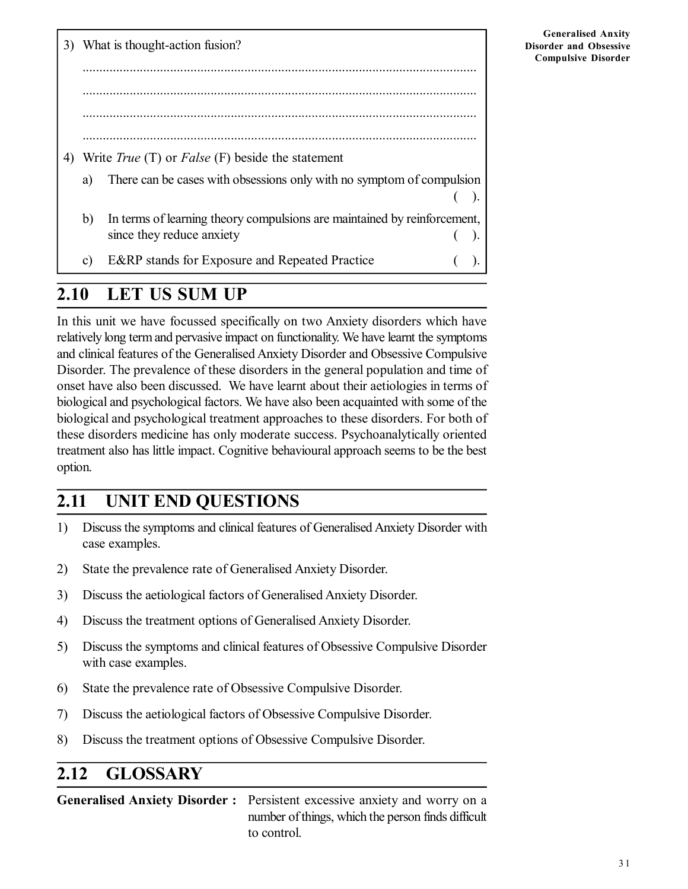3) What is thought-action fusion? ..................................................................................................................... ..................................................................................................................... ..................................................................................................................... ..................................................................................................................... 4) Write *True* (T) or *False* (F) beside the statement a) There can be cases with obsessions only with no symptom of compulsion ( ). b) In terms of learning theory compulsions are maintained by reinforcement, since they reduce anxiety (a). c) E&RP stands for Exposure and Repeated Practice ( ).

**Generalised Anxity Disorder and Obsessive Compulsive Disorder**

## **2.10 LET US SUM UP**

In this unit we have focussed specifically on two Anxiety disorders which have relatively long term and pervasive impact on functionality. We have learnt the symptoms and clinical features of the Generalised Anxiety Disorder and Obsessive Compulsive Disorder. The prevalence of these disorders in the general population and time of onset have also been discussed. We have learnt about their aetiologies in terms of biological and psychological factors. We have also been acquainted with some of the biological and psychological treatment approaches to these disorders. For both of these disorders medicine has only moderate success. Psychoanalytically oriented treatment also has little impact. Cognitive behavioural approach seems to be the best option.

# **2.11 UNIT END QUESTIONS**

- 1) Discuss the symptoms and clinical features of Generalised Anxiety Disorder with case examples.
- 2) State the prevalence rate of Generalised Anxiety Disorder.
- 3) Discuss the aetiological factors of Generalised Anxiety Disorder.
- 4) Discuss the treatment options of Generalised Anxiety Disorder.
- 5) Discuss the symptoms and clinical features of Obsessive Compulsive Disorder with case examples.
- 6) State the prevalence rate of Obsessive Compulsive Disorder.
- 7) Discuss the aetiological factors of Obsessive Compulsive Disorder.
- 8) Discuss the treatment options of Obsessive Compulsive Disorder.

# **2.12 GLOSSARY**

**Generalised Anxiety Disorder :** Persistent excessive anxiety and worry on a number of things, which the person finds difficult to control.